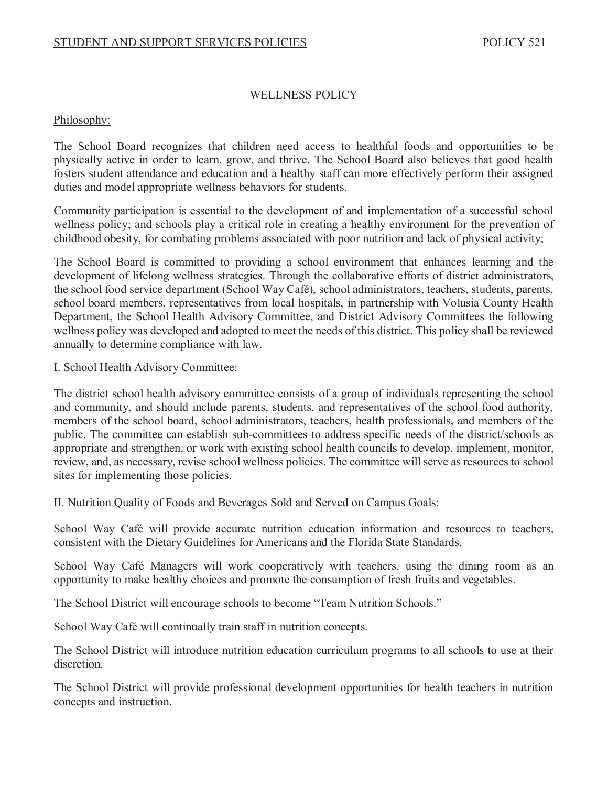# WELLNESS POLICY

# Philosophy:

The School Board recognizes that children need access to healthful foods and opportunities to be physically active in order to learn, grow, and thrive. The School Board also believes that good health fosters student attendance and education and a healthy staff can more effectively perform their assigned duties and model appropriate wellness behaviors for students.

Community participation is essential to the development of and implementation of a successful school wellness policy; and schools play a critical role in creating a healthy environment for the prevention of childhood obesity, for combating problems associated with poor nutrition and lack of physical activity;

The School Board is committed to providing a school environment that enhances learning and the development of lifelong wellness strategies. Through the collaborative efforts of district administrators, the school food service department (School Way Café), school administrators, teachers, students, parents, school board members, representatives from local hospitals, in partnership with Volusia County Health Department, the School Health Advisory Committee, and District Advisory Committees the following wellness policy was developed and adopted to meet the needs of this district. This policy shall be reviewed annually to determine compliance with law.

#### I. School Health Advisory Committee:

The district school health advisory committee consists of a group of individuals representing the school and community, and should include parents, students, and representatives of the school food authority, members of the school board, school administrators, teachers, health professionals, and members of the public. The committee can establish sub-committees to address specific needs of the district/schools as appropriate and strengthen, or work with existing school health councils to develop, implement, monitor, review, and, as necessary, revise school wellness policies. The committee will serve as resources to school sites for implementing those policies.

# II. Nutrition Quality of Foods and Beverages Sold and Served on Campus Goals:

School Way Café will provide accurate nutrition education information and resources to teachers, consistent with the Dietary Guidelines for Americans and the Florida State Standards.

School Way Café Managers will work cooperatively with teachers, using the dining room as an opportunity to make healthy choices and promote the consumption of fresh fruits and vegetables.

The School District will encourage schools to become "Team Nutrition Schools."

School Way Café will continually train staff in nutrition concepts.

The School District will introduce nutrition education curriculum programs to all schools to use at their discretion.

The School District will provide professional development opportunities for health teachers in nutrition concepts and instruction.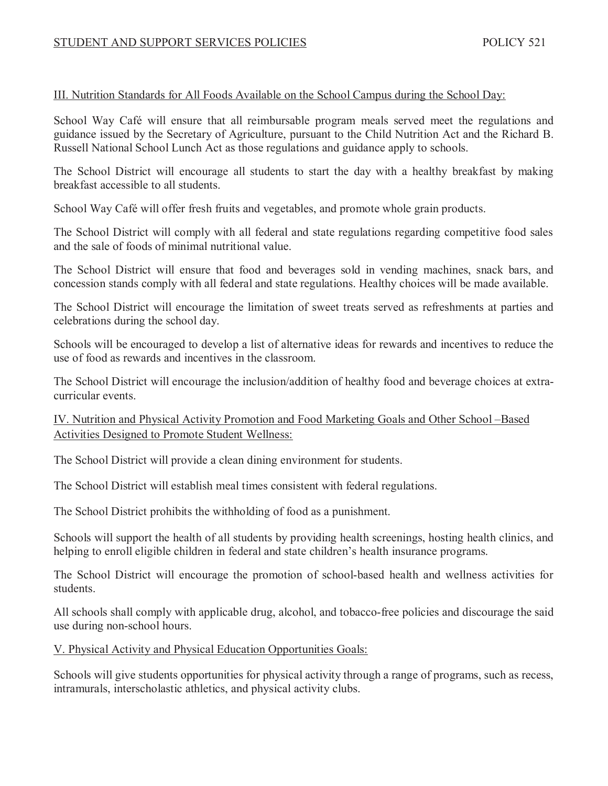#### III. Nutrition Standards for All Foods Available on the School Campus during the School Day:

School Way Café will ensure that all reimbursable program meals served meet the regulations and guidance issued by the Secretary of Agriculture, pursuant to the Child Nutrition Act and the Richard B. Russell National School Lunch Act as those regulations and guidance apply to schools.

The School District will encourage all students to start the day with a healthy breakfast by making breakfast accessible to all students.

School Way Café will offer fresh fruits and vegetables, and promote whole grain products.

The School District will comply with all federal and state regulations regarding competitive food sales and the sale of foods of minimal nutritional value.

The School District will ensure that food and beverages sold in vending machines, snack bars, and concession stands comply with all federal and state regulations. Healthy choices will be made available.

The School District will encourage the limitation of sweet treats served as refreshments at parties and celebrations during the school day.

Schools will be encouraged to develop a list of alternative ideas for rewards and incentives to reduce the use of food as rewards and incentives in the classroom.

The School District will encourage the inclusion/addition of healthy food and beverage choices at extracurricular events.

IV. Nutrition and Physical Activity Promotion and Food Marketing Goals and Other School –Based Activities Designed to Promote Student Wellness:

The School District will provide a clean dining environment for students.

The School District will establish meal times consistent with federal regulations.

The School District prohibits the withholding of food as a punishment.

Schools will support the health of all students by providing health screenings, hosting health clinics, and helping to enroll eligible children in federal and state children's health insurance programs.

The School District will encourage the promotion of school-based health and wellness activities for students.

All schools shall comply with applicable drug, alcohol, and tobacco-free policies and discourage the said use during non-school hours.

V. Physical Activity and Physical Education Opportunities Goals:

Schools will give students opportunities for physical activity through a range of programs, such as recess, intramurals, interscholastic athletics, and physical activity clubs.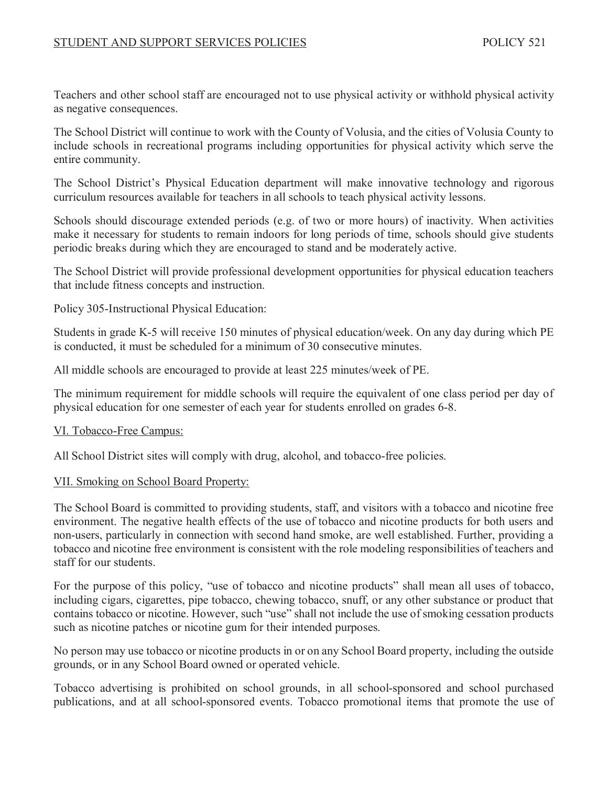Teachers and other school staff are encouraged not to use physical activity or withhold physical activity as negative consequences.

The School District will continue to work with the County of Volusia, and the cities of Volusia County to include schools in recreational programs including opportunities for physical activity which serve the entire community.

The School District's Physical Education department will make innovative technology and rigorous curriculum resources available for teachers in all schools to teach physical activity lessons.

Schools should discourage extended periods (e.g. of two or more hours) of inactivity. When activities make it necessary for students to remain indoors for long periods of time, schools should give students periodic breaks during which they are encouraged to stand and be moderately active.

The School District will provide professional development opportunities for physical education teachers that include fitness concepts and instruction.

Policy 305-Instructional Physical Education:

Students in grade K-5 will receive 150 minutes of physical education/week. On any day during which PE is conducted, it must be scheduled for a minimum of 30 consecutive minutes.

All middle schools are encouraged to provide at least 225 minutes/week of PE.

The minimum requirement for middle schools will require the equivalent of one class period per day of physical education for one semester of each year for students enrolled on grades 6-8.

# VI. Tobacco-Free Campus:

All School District sites will comply with drug, alcohol, and tobacco-free policies.

# VII. Smoking on School Board Property:

The School Board is committed to providing students, staff, and visitors with a tobacco and nicotine free environment. The negative health effects of the use of tobacco and nicotine products for both users and non-users, particularly in connection with second hand smoke, are well established. Further, providing a tobacco and nicotine free environment is consistent with the role modeling responsibilities of teachers and staff for our students.

For the purpose of this policy, "use of tobacco and nicotine products" shall mean all uses of tobacco, including cigars, cigarettes, pipe tobacco, chewing tobacco, snuff, or any other substance or product that contains tobacco or nicotine. However, such "use" shall not include the use of smoking cessation products such as nicotine patches or nicotine gum for their intended purposes.

No person may use tobacco or nicotine products in or on any School Board property, including the outside grounds, or in any School Board owned or operated vehicle.

Tobacco advertising is prohibited on school grounds, in all school-sponsored and school purchased publications, and at all school-sponsored events. Tobacco promotional items that promote the use of